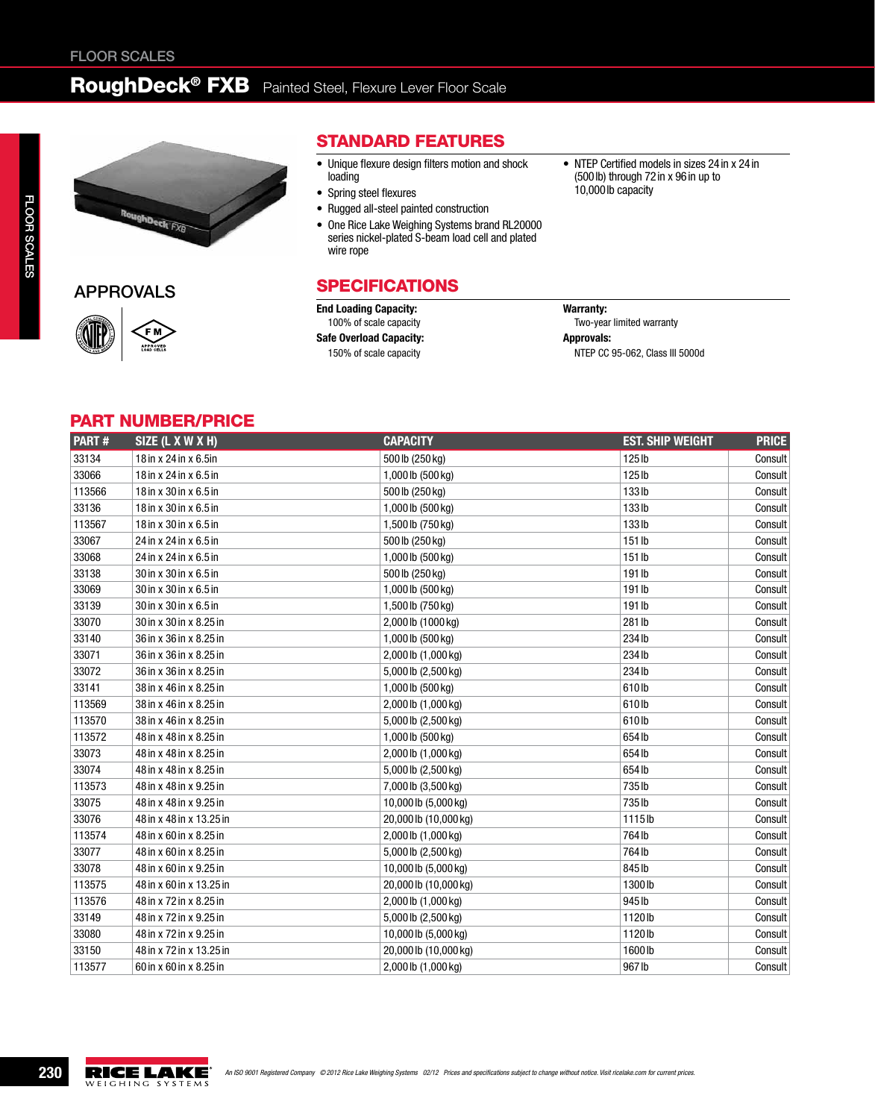## RoughDeck® FXB Painted Steel, Flexure Lever Floor Scale



APPROVALS



#### Standard Features

- Unique flexure design filters motion and shock loading
- • Spring steel flexures
- • Rugged all-steel painted construction
- One Rice Lake Weighing Systems brand RL20000 series nickel-plated S-beam load cell and plated wire rope

#### **SPECIFICATIONS**

End Loading Capacity: 100% of scale capacity

Safe Overload Capacity: 150% of scale capacity

• NTEP Certified models in sizes 24 in x 24 in (500lb) through 72in x 96in up to 10,000lb capacity

#### Warranty: Two-year limited warranty Approvals: NTEP CC 95-062, Class III 5000d

#### part number/price

| PART#  | SIZE (L X W X H)         | <b>CAPACITY</b>       | <b>EST. SHIP WEIGHT</b> | <b>PRICE</b> |
|--------|--------------------------|-----------------------|-------------------------|--------------|
| 33134  | 18 in x 24 in x 6.5 in   | 500 lb (250 kg)       | 125 <sub>lb</sub>       | Consult      |
| 33066  | 18 in x 24 in x 6.5 in   | 1,000 lb (500 kg)     | 125 lb                  | Consult      |
| 113566 | 18 in x 30 in x 6.5 in   | 500 lb (250 kg)       | 133lb                   | Consult      |
| 33136  | 18 in x 30 in x 6.5 in   | 1,000 lb (500 kg)     | 133lb                   | Consult      |
| 113567 | 18 in x 30 in x 6.5 in   | 1,500 lb (750 kg)     | 133lb                   | Consult      |
| 33067  | 24 in x 24 in x 6.5 in   | 500 lb (250 kg)       | 151 lb                  | Consult      |
| 33068  | 24 in x 24 in x 6.5 in   | 1,000 lb (500 kg)     | 151 lb                  | Consult      |
| 33138  | 30 in x 30 in x 6.5 in   | 500 lb (250 kg)       | 191 lb                  | Consult      |
| 33069  | 30 in x 30 in x 6.5 in   | 1,000 lb (500 kg)     | 191 lb                  | Consult      |
| 33139  | 30 in x 30 in x 6.5 in   | 1,500 lb (750 kg)     | 191 lb                  | Consult      |
| 33070  | 30 in x 30 in x 8.25 in  | 2,000 lb (1000 kg)    | 281 lb                  | Consult      |
| 33140  | 36 in x 36 in x 8.25 in  | 1,000 lb (500 kg)     | 234 lb                  | Consult      |
| 33071  | 36 in x 36 in x 8.25 in  | 2,000 lb (1,000 kg)   | 234 lb                  | Consult      |
| 33072  | 36 in x 36 in x 8.25 in  | 5,000 lb (2,500 kg)   | 234 lb                  | Consult      |
| 33141  | 38 in x 46 in x 8.25 in  | 1,000 lb (500 kg)     | 610lb                   | Consult      |
| 113569 | 38 in x 46 in x 8.25 in  | 2,000 lb (1,000 kg)   | 610lb                   | Consult      |
| 113570 | 38 in x 46 in x 8.25 in  | 5,000 lb (2,500 kg)   | 610lb                   | Consult      |
| 113572 | 48 in x 48 in x 8.25 in  | 1,000 lb (500 kg)     | 654 lb                  | Consult      |
| 33073  | 48 in x 48 in x 8.25 in  | 2,000 lb (1,000 kg)   | 654 lb                  | Consult      |
| 33074  | 48 in x 48 in x 8.25 in  | 5,000 lb (2,500 kg)   | 654 lb                  | Consult      |
| 113573 | 48 in x 48 in x 9.25 in  | 7,000 lb (3,500 kg)   | 735 lb                  | Consult      |
| 33075  | 48 in x 48 in x 9.25 in  | 10,000 lb (5,000 kg)  | 735lb                   | Consult      |
| 33076  | 48 in x 48 in x 13.25 in | 20,000 lb (10,000 kg) | 1115lb                  | Consult      |
| 113574 | 48 in x 60 in x 8.25 in  | 2,000 lb (1,000 kg)   | 764 lb                  | Consult      |
| 33077  | 48 in x 60 in x 8.25 in  | 5,000 lb (2,500 kg)   | 764 lb                  | Consult      |
| 33078  | 48 in x 60 in x 9.25 in  | 10,000 lb (5,000 kg)  | 845 lb                  | Consult      |
| 113575 | 48 in x 60 in x 13.25 in | 20,000 lb (10,000 kg) | 1300lb                  | Consult      |
| 113576 | 48 in x 72 in x 8.25 in  | 2,000 lb (1,000 kg)   | 945 lb                  | Consult      |
| 33149  | 48 in x 72 in x 9.25 in  | 5,000 lb (2,500 kg)   | 1120lb                  | Consult      |
| 33080  | 48 in x 72 in x 9.25 in  | 10,000 lb (5,000 kg)  | 1120lb                  | Consult      |
| 33150  | 48 in x 72 in x 13.25 in | 20,000 lb (10,000 kg) | 1600lb                  | Consult      |
| 113577 | 60 in x 60 in x 8.25 in  | 2,000 lb (1,000 kg)   | 967 lb                  | Consult      |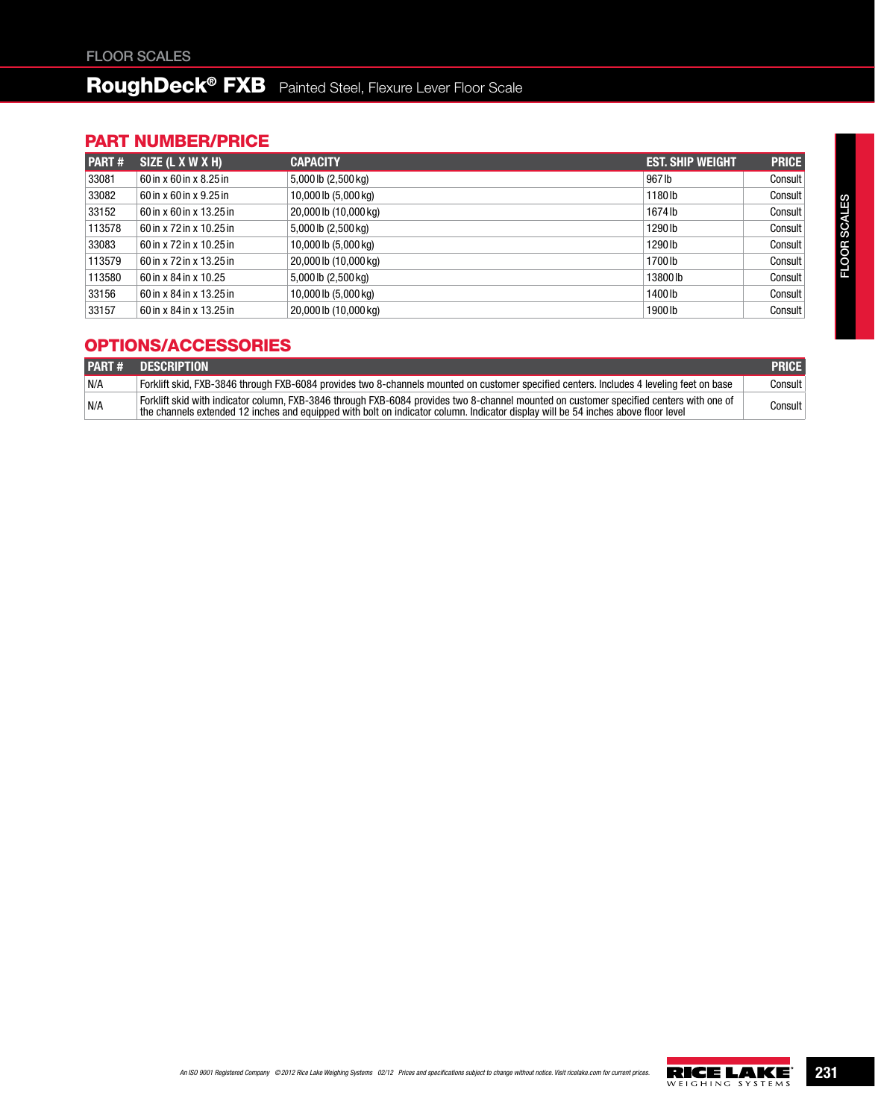# RoughDeck<sup>®</sup> FXB Painted Steel, Flexure Lever Floor Scale

### part number/price

| PART#  | SIZE (L X W X H)         | <b>CAPACITY</b>       | <b>EST. SHIP WEIGHT</b> | <b>PRICE</b> |
|--------|--------------------------|-----------------------|-------------------------|--------------|
| 33081  | 60 in x 60 in x 8.25 in  | 5,000 lb (2,500 kg)   | 967 lb                  | Consult      |
| 33082  | 60 in x 60 in x 9.25 in  | 10,000lb (5,000 kg)   | 1180lb                  | Consult      |
| 33152  | 60 in x 60 in x 13.25 in | 20,000 lb (10,000 kg) | 1674lb                  | Consult      |
| 113578 | 60 in x 72 in x 10.25 in | 5,000 lb (2,500 kg)   | 1290 lb                 | Consult      |
| 33083  | 60 in x 72 in x 10.25 in | 10,000lb (5,000 kg)   | 1290 lb                 | Consult      |
| 113579 | 60 in x 72 in x 13.25 in | 20,000 lb (10,000 kg) | 1700 lb                 | Consult      |
| 113580 | 60 in x 84 in x 10.25    | 5,000 lb (2,500 kg)   | 13800 lb                | Consult      |
| 33156  | 60 in x 84 in x 13.25 in | 10,000 lb (5,000 kg)  | 1400 lb                 | Consult      |
| 33157  | 60 in x 84 in x 13.25 in | 20,000 lb (10,000 kg) | 1900lb                  | Consult      |

### OPTIONS/ACCESSORIES

|     | <b>PART # DESCRIPTION</b>                                                                                                                                                                                                                                                    | <b>PRICE</b> |
|-----|------------------------------------------------------------------------------------------------------------------------------------------------------------------------------------------------------------------------------------------------------------------------------|--------------|
| N/A | Forklift skid. FXB-3846 through FXB-6084 provides two 8-channels mounted on customer specified centers. Includes 4 leveling feet on base                                                                                                                                     | Consult I    |
| N/A | Forklift skid with indicator column, FXB-3846 through FXB-6084 provides two 8-channel mounted on customer specified centers with one of<br>the channels extended 12 inches and equipped with bolt on indicator column. Indicator display will be 54 inches above floor level | Consult      |

An ISO 9001 Registered Company © 2012 Rice Lake Weighing Systems 02/12 Prices and specifications subject to change without notice. Visit ricelake.com for current prices.<br>WELGHING SYSTEMS